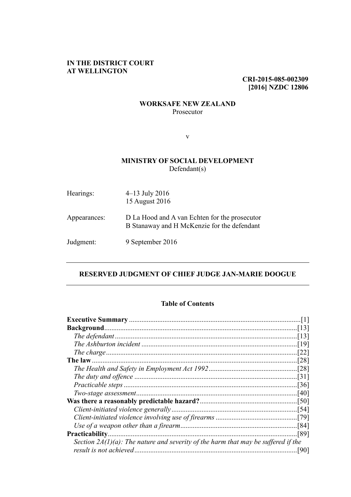# **IN THE DISTRICT COURT AT WELLINGTON**

**CRI-2015-085-002309 [2016] NZDC 12806**

## **WORKSAFE NEW ZEALAND** Prosecutor

v

# **MINISTRY OF SOCIAL DEVELOPMENT** Defendant(s)

| Hearings:    | $4-13$ July 2016<br>15 August 2016                                                           |
|--------------|----------------------------------------------------------------------------------------------|
| Appearances: | D La Hood and A van Echten for the prosecutor<br>B Stanaway and H McKenzie for the defendant |
| Judgment:    | 9 September 2016                                                                             |

# **RESERVED JUDGMENT OF CHIEF JUDGE JAN-MARIE DOOGUE**

## **Table of Contents**

| <b>Practicability.</b>                                                               | [89] |
|--------------------------------------------------------------------------------------|------|
| Section $2A(1)(a)$ : The nature and severity of the harm that may be suffered if the |      |
|                                                                                      | [90] |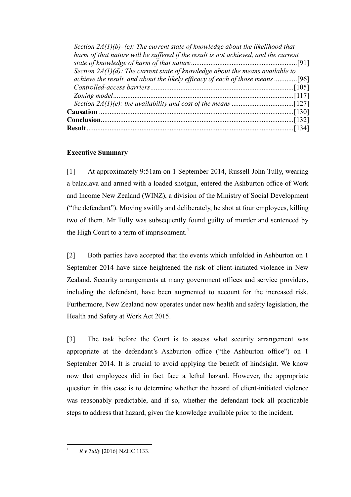| Section $2A(1)(b)-(c)$ : The current state of knowledge about the likelihood that   |  |
|-------------------------------------------------------------------------------------|--|
| harm of that nature will be suffered if the result is not achieved, and the current |  |
|                                                                                     |  |
| Section $2A(1)(d)$ : The current state of knowledge about the means available to    |  |
| achieve the result, and about the likely efficacy of each of those means            |  |
|                                                                                     |  |
|                                                                                     |  |
|                                                                                     |  |
|                                                                                     |  |
|                                                                                     |  |
|                                                                                     |  |

# <span id="page-1-0"></span>**Executive Summary**

[1] At approximately 9:51am on 1 September 2014, Russell John Tully, wearing a balaclava and armed with a loaded shotgun, entered the Ashburton office of Work and Income New Zealand (WINZ), a division of the Ministry of Social Development ("the defendant"). Moving swiftly and deliberately, he shot at four employees, killing two of them. Mr Tully was subsequently found guilty of murder and sentenced by the High Court to a term of imprisonment.<sup>[1](#page-1-1)</sup>

[2] Both parties have accepted that the events which unfolded in Ashburton on 1 September 2014 have since heightened the risk of client-initiated violence in New Zealand. Security arrangements at many government offices and service providers, including the defendant, have been augmented to account for the increased risk. Furthermore, New Zealand now operates under new health and safety legislation, the Health and Safety at Work Act 2015.

[3] The task before the Court is to assess what security arrangement was appropriate at the defendant's Ashburton office ("the Ashburton office") on 1 September 2014. It is crucial to avoid applying the benefit of hindsight. We know now that employees did in fact face a lethal hazard. However, the appropriate question in this case is to determine whether the hazard of client-initiated violence was reasonably predictable, and if so, whether the defendant took all practicable steps to address that hazard, given the knowledge available prior to the incident.

<span id="page-1-1"></span>1 *R v Tully* [2016] NZHC 1133.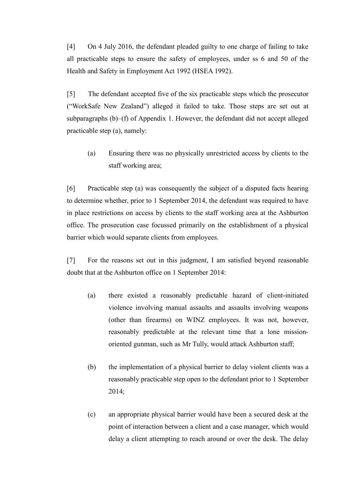[4] On 4 July 2016, the defendant pleaded guilty to one charge of failing to take all practicable steps to ensure the safety of employees, under ss 6 and 50 of the Health and Safety in Employment Act 1992 (HSEA 1992).

[5] The defendant accepted five of the six practicable steps which the prosecutor ("WorkSafe New Zealand") alleged it failed to take. Those steps are set out at subparagraphs (b)–(f) of Appendix 1. However, the defendant did not accept alleged practicable step (a), namely:

(a) Ensuring there was no physically unrestricted access by clients to the staff working area;

[6] Practicable step (a) was consequently the subject of a disputed facts hearing to determine whether, prior to 1 September 2014, the defendant was required to have in place restrictions on access by clients to the staff working area at the Ashburton office. The prosecution case focussed primarily on the establishment of a physical barrier which would separate clients from employees.

<span id="page-2-0"></span>[7] For the reasons set out in this judgment, I am satisfied beyond reasonable doubt that at the Ashburton office on 1 September 2014:

- (a) there existed a reasonably predictable hazard of client-initiated violence involving manual assaults and assaults involving weapons (other than firearms) on WINZ employees. It was not, however, reasonably predictable at the relevant time that a lone missionoriented gunman, such as Mr Tully, would attack Ashburton staff;
- (b) the implementation of a physical barrier to delay violent clients was a reasonably practicable step open to the defendant prior to 1 September 2014;
- (c) an appropriate physical barrier would have been a secured desk at the point of interaction between a client and a case manager, which would delay a client attempting to reach around or over the desk. The delay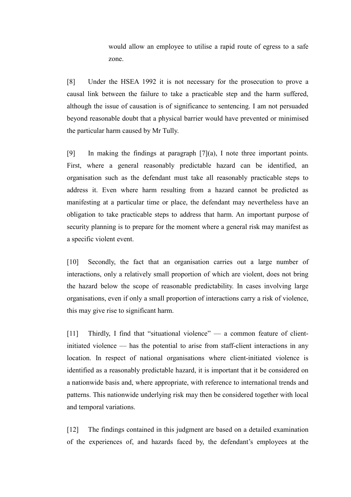would allow an employee to utilise a rapid route of egress to a safe zone.

[8] Under the HSEA 1992 it is not necessary for the prosecution to prove a causal link between the failure to take a practicable step and the harm suffered, although the issue of causation is of significance to sentencing. I am not persuaded beyond reasonable doubt that a physical barrier would have prevented or minimised the particular harm caused by Mr Tully.

[9] In making the findings at paragraph [\[7\]\(](#page-2-0)a), I note three important points. First, where a general reasonably predictable hazard can be identified, an organisation such as the defendant must take all reasonably practicable steps to address it. Even where harm resulting from a hazard cannot be predicted as manifesting at a particular time or place, the defendant may nevertheless have an obligation to take practicable steps to address that harm. An important purpose of security planning is to prepare for the moment where a general risk may manifest as a specific violent event.

[10] Secondly, the fact that an organisation carries out a large number of interactions, only a relatively small proportion of which are violent, does not bring the hazard below the scope of reasonable predictability. In cases involving large organisations, even if only a small proportion of interactions carry a risk of violence, this may give rise to significant harm.

[11] Thirdly, I find that "situational violence" — a common feature of clientinitiated violence — has the potential to arise from staff-client interactions in any location. In respect of national organisations where client-initiated violence is identified as a reasonably predictable hazard, it is important that it be considered on a nationwide basis and, where appropriate, with reference to international trends and patterns. This nationwide underlying risk may then be considered together with local and temporal variations.

[12] The findings contained in this judgment are based on a detailed examination of the experiences of, and hazards faced by, the defendant's employees at the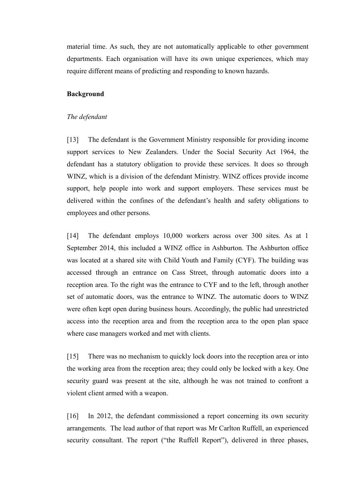material time. As such, they are not automatically applicable to other government departments. Each organisation will have its own unique experiences, which may require different means of predicting and responding to known hazards.

#### <span id="page-4-1"></span><span id="page-4-0"></span>**Background**

#### *The defendant*

[13] The defendant is the Government Ministry responsible for providing income support services to New Zealanders. Under the Social Security Act 1964, the defendant has a statutory obligation to provide these services. It does so through WINZ, which is a division of the defendant Ministry. WINZ offices provide income support, help people into work and support employers. These services must be delivered within the confines of the defendant's health and safety obligations to employees and other persons.

[14] The defendant employs 10,000 workers across over 300 sites. As at 1 September 2014, this included a WINZ office in Ashburton. The Ashburton office was located at a shared site with Child Youth and Family (CYF). The building was accessed through an entrance on Cass Street, through automatic doors into a reception area. To the right was the entrance to CYF and to the left, through another set of automatic doors, was the entrance to WINZ. The automatic doors to WINZ were often kept open during business hours. Accordingly, the public had unrestricted access into the reception area and from the reception area to the open plan space where case managers worked and met with clients.

[15] There was no mechanism to quickly lock doors into the reception area or into the working area from the reception area; they could only be locked with a key. One security guard was present at the site, although he was not trained to confront a violent client armed with a weapon.

[16] In 2012, the defendant commissioned a report concerning its own security arrangements. The lead author of that report was Mr Carlton Ruffell, an experienced security consultant. The report ("the Ruffell Report"), delivered in three phases,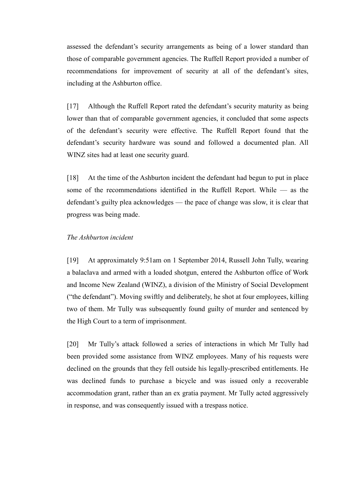assessed the defendant's security arrangements as being of a lower standard than those of comparable government agencies. The Ruffell Report provided a number of recommendations for improvement of security at all of the defendant's sites, including at the Ashburton office.

[17] Although the Ruffell Report rated the defendant's security maturity as being lower than that of comparable government agencies, it concluded that some aspects of the defendant's security were effective. The Ruffell Report found that the defendant's security hardware was sound and followed a documented plan. All WINZ sites had at least one security guard.

[18] At the time of the Ashburton incident the defendant had begun to put in place some of the recommendations identified in the Ruffell Report. While — as the defendant's guilty plea acknowledges — the pace of change was slow, it is clear that progress was being made.

### <span id="page-5-0"></span>*The Ashburton incident*

[19] At approximately 9:51am on 1 September 2014, Russell John Tully, wearing a balaclava and armed with a loaded shotgun, entered the Ashburton office of Work and Income New Zealand (WINZ), a division of the Ministry of Social Development ("the defendant"). Moving swiftly and deliberately, he shot at four employees, killing two of them. Mr Tully was subsequently found guilty of murder and sentenced by the High Court to a term of imprisonment.

[20] Mr Tully's attack followed a series of interactions in which Mr Tully had been provided some assistance from WINZ employees. Many of his requests were declined on the grounds that they fell outside his legally-prescribed entitlements. He was declined funds to purchase a bicycle and was issued only a recoverable accommodation grant, rather than an ex gratia payment. Mr Tully acted aggressively in response, and was consequently issued with a trespass notice.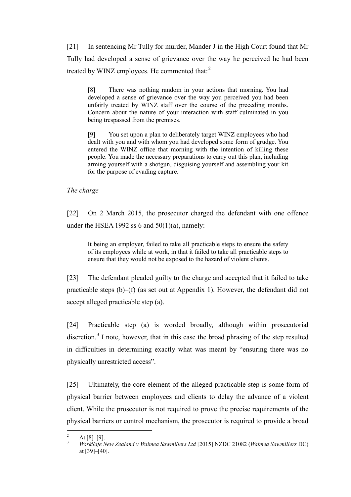[21] In sentencing Mr Tully for murder, Mander J in the High Court found that Mr Tully had developed a sense of grievance over the way he perceived he had been treated by WINZ employees. He commented that: $2$ 

[8] There was nothing random in your actions that morning. You had developed a sense of grievance over the way you perceived you had been unfairly treated by WINZ staff over the course of the preceding months. Concern about the nature of your interaction with staff culminated in you being trespassed from the premises.

[9] You set upon a plan to deliberately target WINZ employees who had dealt with you and with whom you had developed some form of grudge. You entered the WINZ office that morning with the intention of killing these people. You made the necessary preparations to carry out this plan, including arming yourself with a shotgun, disguising yourself and assembling your kit for the purpose of evading capture.

<span id="page-6-0"></span>*The charge*

[22] On 2 March 2015, the prosecutor charged the defendant with one offence under the HSEA 1992 ss  $6$  and  $50(1)(a)$ , namely:

It being an employer, failed to take all practicable steps to ensure the safety of its employees while at work, in that it failed to take all practicable steps to ensure that they would not be exposed to the hazard of violent clients.

[23] The defendant pleaded guilty to the charge and accepted that it failed to take practicable steps (b)–(f) (as set out at Appendix 1). However, the defendant did not accept alleged practicable step (a).

<span id="page-6-3"></span>[24] Practicable step (a) is worded broadly, although within prosecutorial discretion.<sup>[3](#page-6-2)</sup> I note, however, that in this case the broad phrasing of the step resulted in difficulties in determining exactly what was meant by "ensuring there was no physically unrestricted access".

[25] Ultimately, the core element of the alleged practicable step is some form of physical barrier between employees and clients to delay the advance of a violent client. While the prosecutor is not required to prove the precise requirements of the physical barriers or control mechanism, the prosecutor is required to provide a broad

<span id="page-6-2"></span><span id="page-6-1"></span><sup>2</sup> At [8]–[9]. <sup>3</sup> *WorkSafe New Zealand v Waimea Sawmillers Ltd* [2015] NZDC 21082 (*Waimea Sawmillers* DC) at [39]–[40].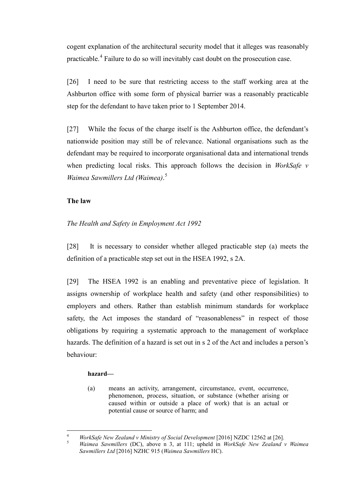cogent explanation of the architectural security model that it alleges was reasonably practicable.<sup>[4](#page-7-2)</sup> Failure to do so will inevitably cast doubt on the prosecution case.

[26] I need to be sure that restricting access to the staff working area at the Ashburton office with some form of physical barrier was a reasonably practicable step for the defendant to have taken prior to 1 September 2014.

[27] While the focus of the charge itself is the Ashburton office, the defendant's nationwide position may still be of relevance. National organisations such as the defendant may be required to incorporate organisational data and international trends when predicting local risks. This approach follows the decision in *WorkSafe v Waimea Sawmillers Ltd (Waimea)*. [5](#page-7-3)

# <span id="page-7-4"></span><span id="page-7-0"></span>**The law**

# <span id="page-7-1"></span>*The Health and Safety in Employment Act 1992*

[28] It is necessary to consider whether alleged practicable step (a) meets the definition of a practicable step set out in the HSEA 1992, s 2A.

[29] The HSEA 1992 is an enabling and preventative piece of legislation. It assigns ownership of workplace health and safety (and other responsibilities) to employers and others. Rather than establish minimum standards for workplace safety, the Act imposes the standard of "reasonableness" in respect of those obligations by requiring a systematic approach to the management of workplace hazards. The definition of a hazard is set out in s 2 of the Act and includes a person's behaviour:

## **hazard—**

(a) means an activity, arrangement, circumstance, event, occurrence, phenomenon, process, situation, or substance (whether arising or caused within or outside a place of work) that is an actual or potential cause or source of harm; and

<span id="page-7-3"></span><span id="page-7-2"></span><sup>4</sup> *WorkSafe New Zealand v Ministry of Social Development* [2016] NZDC 12562 at [26]. <sup>5</sup> *Waimea Sawmillers* (DC), above n [3,](#page-6-3) at 111; upheld in *WorkSafe New Zealand v Waimea* 

*Sawmillers Ltd* [2016] NZHC 915 (*Waimea Sawmillers* HC).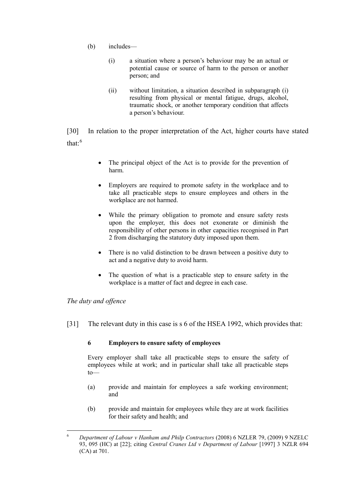- (b) includes—
	- (i) a situation where a person's behaviour may be an actual or potential cause or source of harm to the person or another person; and
	- (ii) without limitation, a situation described in subparagraph (i) resulting from physical or mental fatigue, drugs, alcohol, traumatic shock, or another temporary condition that affects a person's behaviour.

[30] In relation to the proper interpretation of the Act, higher courts have stated that $\cdot$ <sup>[6](#page-8-1)</sup>

- The principal object of the Act is to provide for the prevention of harm.
- Employers are required to promote safety in the workplace and to take all practicable steps to ensure employees and others in the workplace are not harmed.
- While the primary obligation to promote and ensure safety rests upon the employer, this does not exonerate or diminish the responsibility of other persons in other capacities recognised in Part 2 from discharging the statutory duty imposed upon them.
- There is no valid distinction to be drawn between a positive duty to act and a negative duty to avoid harm.
- The question of what is a practicable step to ensure safety in the workplace is a matter of fact and degree in each case.

## <span id="page-8-0"></span>*The duty and offence*

[31] The relevant duty in this case is s 6 of the HSEA 1992, which provides that:

## **6 Employers to ensure safety of employees**

Every employer shall take all practicable steps to ensure the safety of employees while at work; and in particular shall take all practicable steps to—

- (a) provide and maintain for employees a safe working environment; and
- (b) provide and maintain for employees while they are at work facilities for their safety and health; and

<span id="page-8-1"></span> <sup>6</sup> *Department of Labour v Hanham and Philp Contractors* (2008) 6 NZLER 79, (2009) 9 NZELC 93, 095 (HC) at [22]; citing *Central Cranes Ltd v Department of Labour* [1997] 3 NZLR 694 (CA) at 701.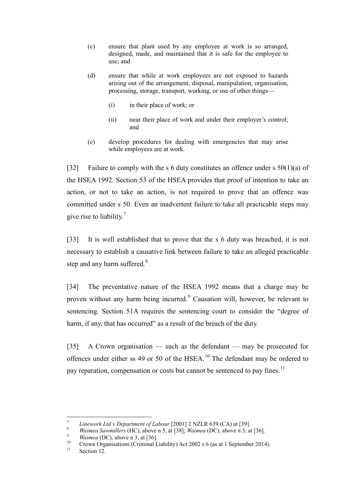- (c) ensure that plant used by any employee at work is so arranged, designed, made, and maintained that it is safe for the employee to use; and
- (d) ensure that while at work employees are not exposed to hazards arising out of the arrangement, disposal, manipulation, organisation, processing, storage, transport, working, or use of other things—
	- (i) in their place of work; or
	- (ii) near their place of work and under their employer's control; and
- (e) develop procedures for dealing with emergencies that may arise while employees are at work.

[32] Failure to comply with the s 6 duty constitutes an offence under s 50(1)(a) of the HSEA 1992. Section 53 of the HSEA provides that proof of intention to take an action, or not to take an action, is not required to prove that an offence was committed under s 50. Even an inadvertent failure to take all practicable steps may give rise to liability.<sup>[7](#page-9-0)</sup>

[33] It is well established that to prove that the s 6 duty was breached, it is not necessary to establish a causative link between failure to take an alleged practicable step and any harm suffered.<sup>[8](#page-9-1)</sup>

[34] The preventative nature of the HSEA 1992 means that a charge may be proven without any harm being incurred.<sup>[9](#page-9-2)</sup> Causation will, however, be relevant to sentencing. Section 51A requires the sentencing court to consider the "degree of harm, if any, that has occurred" as a result of the breach of the duty.

[35] A Crown organisation — such as the defendant — may be prosecuted for offences under either ss 49 or 50 of the  $HSEA$ .<sup>[10](#page-9-3)</sup> The defendant may be ordered to pay reparation, compensation or costs but cannot be sentenced to pay fines.<sup>[11](#page-9-4)</sup>

<span id="page-9-3"></span><span id="page-9-2"></span>

<span id="page-9-1"></span><span id="page-9-0"></span><sup>&</sup>lt;sup>7</sup><br>*Linework Ltd v Department of Labour* [2001] 2 NZLR 639 (CA) at [39].<br>*Waimea Sawmillers* (HC), above n [5,](#page-7-4) at [38]; *Waimea* (DC), above n [3,](#page-6-3) at [36].<br>*Waimea* (DC), above n [3,](#page-6-3) at [36].<br>Crown Organisations (Criminal L

<span id="page-9-4"></span>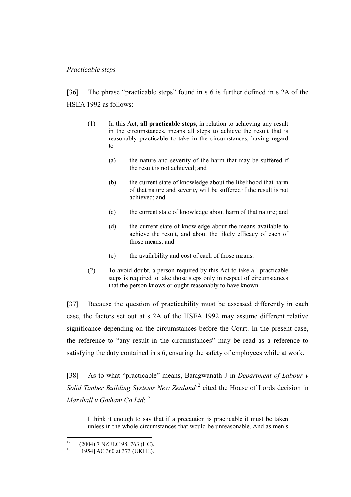## <span id="page-10-0"></span>*Practicable steps*

[36] The phrase "practicable steps" found in s 6 is further defined in s 2A of the HSEA 1992 as follows:

- (1) In this Act, **all practicable steps**, in relation to achieving any result in the circumstances, means all steps to achieve the result that is reasonably practicable to take in the circumstances, having regard to—
	- (a) the nature and severity of the harm that may be suffered if the result is not achieved; and
	- (b) the current state of knowledge about the likelihood that harm of that nature and severity will be suffered if the result is not achieved; and
	- (c) the current state of knowledge about harm of that nature; and
	- (d) the current state of knowledge about the means available to achieve the result, and about the likely efficacy of each of those means; and
	- (e) the availability and cost of each of those means.
- (2) To avoid doubt, a person required by this Act to take all practicable steps is required to take those steps only in respect of circumstances that the person knows or ought reasonably to have known.

[37] Because the question of practicability must be assessed differently in each case, the factors set out at s 2A of the HSEA 1992 may assume different relative significance depending on the circumstances before the Court. In the present case, the reference to "any result in the circumstances" may be read as a reference to satisfying the duty contained in s 6, ensuring the safety of employees while at work.

[38] As to what "practicable" means, Baragwanath J in *Department of Labour v Solid Timber Building Systems New Zealand*<sup>[12](#page-10-1)</sup> cited the House of Lords decision in *Marshall v Gotham Co Ltd*: [13](#page-10-2)

<span id="page-10-4"></span><span id="page-10-3"></span>I think it enough to say that if a precaution is practicable it must be taken unless in the whole circumstances that would be unreasonable. And as men's

<span id="page-10-2"></span><span id="page-10-1"></span><sup>&</sup>lt;sup>12</sup> (2004) 7 NZELC 98, 763 (HC).<br>
<sup>13</sup> [1954] AC 360 at 373 (UKHL).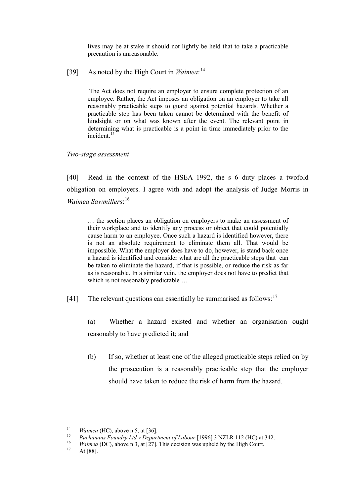lives may be at stake it should not lightly be held that to take a practicable precaution is unreasonable.

[39] As noted by the High Court in *Waimea*: [14](#page-11-1)

The Act does not require an employer to ensure complete protection of an employee. Rather, the Act imposes an obligation on an employer to take all reasonably practicable steps to guard against potential hazards. Whether a practicable step has been taken cannot be determined with the benefit of hindsight or on what was known after the event. The relevant point in determining what is practicable is a point in time immediately prior to the incident $15$ 

### <span id="page-11-0"></span>*Two-stage assessment*

[40] Read in the context of the HSEA 1992, the s 6 duty places a twofold obligation on employers. I agree with and adopt the analysis of Judge Morris in *Waimea Sawmillers*: [16](#page-11-3)

… the section places an obligation on employers to make an assessment of their workplace and to identify any process or object that could potentially cause harm to an employee. Once such a hazard is identified however, there is not an absolute requirement to eliminate them all. That would be impossible. What the employer does have to do, however, is stand back once a hazard is identified and consider what are all the practicable steps that can be taken to eliminate the hazard, if that is possible, or reduce the risk as far as is reasonable. In a similar vein, the employer does not have to predict that which is not reasonably predictable ...

[41] The relevant questions can essentially be summarised as follows:<sup>[17](#page-11-4)</sup>

(a) Whether a hazard existed and whether an organisation ought reasonably to have predicted it; and

(b) If so, whether at least one of the alleged practicable steps relied on by the prosecution is a reasonably practicable step that the employer should have taken to reduce the risk of harm from the hazard.

<span id="page-11-2"></span><span id="page-11-1"></span><sup>&</sup>lt;sup>14</sup> *Waimea* (HC), above n [5,](#page-7-4) at [36].<br> *Buchanans Foundry Ltd v Department of Labour* [1996] 3 NZLR 112 (HC) at 342.<br> *Waimea* (DC), above n [3,](#page-6-3) at [27]. This decision was upheld by the High Court.<br>
At [88].

<span id="page-11-3"></span>

<span id="page-11-4"></span>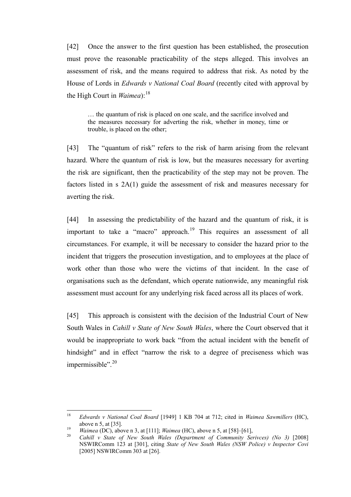[42] Once the answer to the first question has been established, the prosecution must prove the reasonable practicability of the steps alleged. This involves an assessment of risk, and the means required to address that risk. As noted by the House of Lords in *Edwards v National Coal Board* (recently cited with approval by the High Court in  $Waimea$ <sup>[18](#page-12-0)</sup>

<span id="page-12-3"></span>… the quantum of risk is placed on one scale, and the sacrifice involved and the measures necessary for adverting the risk, whether in money, time or trouble, is placed on the other;

[43] The "quantum of risk" refers to the risk of harm arising from the relevant hazard. Where the quantum of risk is low, but the measures necessary for averting the risk are significant, then the practicability of the step may not be proven. The factors listed in s 2A(1) guide the assessment of risk and measures necessary for averting the risk.

[44] In assessing the predictability of the hazard and the quantum of risk, it is important to take a "macro" approach.<sup>[19](#page-12-1)</sup> This requires an assessment of all circumstances. For example, it will be necessary to consider the hazard prior to the incident that triggers the prosecution investigation, and to employees at the place of work other than those who were the victims of that incident. In the case of organisations such as the defendant, which operate nationwide, any meaningful risk assessment must account for any underlying risk faced across all its places of work.

<span id="page-12-4"></span>[45] This approach is consistent with the decision of the Industrial Court of New South Wales in *Cahill v State of New South Wales*, where the Court observed that it would be inappropriate to work back "from the actual incident with the benefit of hindsight" and in effect "narrow the risk to a degree of preciseness which was impermissible". [20](#page-12-2)

<span id="page-12-0"></span> <sup>18</sup> *Edwards v National Coal Board* [1949] 1 KB 704 at 712; cited in *Waimea Sawmillers* (HC), above [n 5,](#page-7-4) at [35].<br>*19 <i>Waimea* (DC), above n [3,](#page-6-3) at [111]; *Waimea* (HC), above n [5,](#page-7-4) at [58]–[61],<br>*20 Cahill v State of New South Wales (Department of Community Serivces) (No 3)* [2008]

<span id="page-12-1"></span>

<span id="page-12-2"></span>NSWIRComm 123 at [301], citing *State of New South Wales (NSW Police) v Inspector Covi*  [2005] NSWIRComm 303 at [26].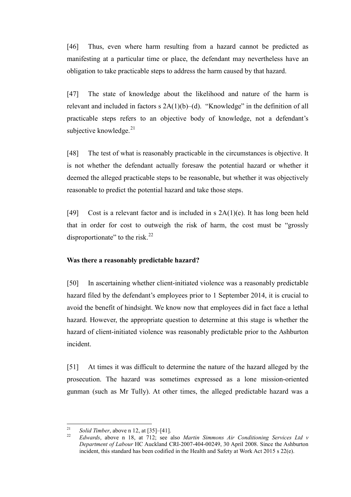[46] Thus, even where harm resulting from a hazard cannot be predicted as manifesting at a particular time or place, the defendant may nevertheless have an obligation to take practicable steps to address the harm caused by that hazard.

[47] The state of knowledge about the likelihood and nature of the harm is relevant and included in factors  $s$  2A(1)(b)–(d). "Knowledge" in the definition of all practicable steps refers to an objective body of knowledge, not a defendant's subjective knowledge.<sup>[21](#page-13-1)</sup>

[48] The test of what is reasonably practicable in the circumstances is objective. It is not whether the defendant actually foresaw the potential hazard or whether it deemed the alleged practicable steps to be reasonable, but whether it was objectively reasonable to predict the potential hazard and take those steps.

<span id="page-13-3"></span>[49] Cost is a relevant factor and is included in s  $2A(1)(e)$ . It has long been held that in order for cost to outweigh the risk of harm, the cost must be "grossly disproportionate" to the risk. $^{22}$  $^{22}$  $^{22}$ 

## <span id="page-13-0"></span>**Was there a reasonably predictable hazard?**

[50] In ascertaining whether client-initiated violence was a reasonably predictable hazard filed by the defendant's employees prior to 1 September 2014, it is crucial to avoid the benefit of hindsight. We know now that employees did in fact face a lethal hazard. However, the appropriate question to determine at this stage is whether the hazard of client-initiated violence was reasonably predictable prior to the Ashburton incident.

[51] At times it was difficult to determine the nature of the hazard alleged by the prosecution. The hazard was sometimes expressed as a lone mission-oriented gunman (such as Mr Tully). At other times, the alleged predictable hazard was a

<span id="page-13-2"></span><span id="page-13-1"></span><sup>21</sup> *Solid Timber*, above n [12,](#page-10-3) at [35]–[41]. <sup>22</sup> *Edwards*, above n [18,](#page-12-3) at 712; see also *Martin Simmons Air Conditioning Services Ltd v Department of Labour* HC Auckland CRI-2007-404-00249, 30 April 2008. Since the Ashburton incident, this standard has been codified in the Health and Safety at Work Act 2015 s 22(e).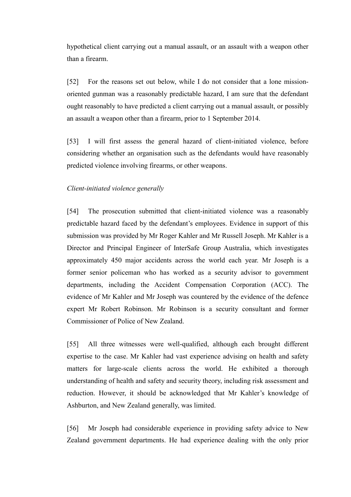hypothetical client carrying out a manual assault, or an assault with a weapon other than a firearm.

[52] For the reasons set out below, while I do not consider that a lone missionoriented gunman was a reasonably predictable hazard, I am sure that the defendant ought reasonably to have predicted a client carrying out a manual assault, or possibly an assault a weapon other than a firearm, prior to 1 September 2014.

[53] I will first assess the general hazard of client-initiated violence, before considering whether an organisation such as the defendants would have reasonably predicted violence involving firearms, or other weapons.

## <span id="page-14-0"></span>*Client-initiated violence generally*

[54] The prosecution submitted that client-initiated violence was a reasonably predictable hazard faced by the defendant's employees. Evidence in support of this submission was provided by Mr Roger Kahler and Mr Russell Joseph. Mr Kahler is a Director and Principal Engineer of InterSafe Group Australia, which investigates approximately 450 major accidents across the world each year. Mr Joseph is a former senior policeman who has worked as a security advisor to government departments, including the Accident Compensation Corporation (ACC). The evidence of Mr Kahler and Mr Joseph was countered by the evidence of the defence expert Mr Robert Robinson. Mr Robinson is a security consultant and former Commissioner of Police of New Zealand.

[55] All three witnesses were well-qualified, although each brought different expertise to the case. Mr Kahler had vast experience advising on health and safety matters for large-scale clients across the world. He exhibited a thorough understanding of health and safety and security theory, including risk assessment and reduction. However, it should be acknowledged that Mr Kahler's knowledge of Ashburton, and New Zealand generally, was limited.

[56] Mr Joseph had considerable experience in providing safety advice to New Zealand government departments. He had experience dealing with the only prior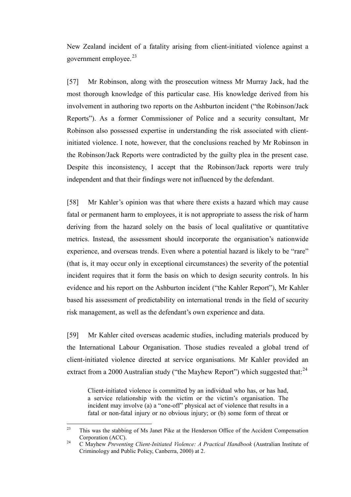New Zealand incident of a fatality arising from client-initiated violence against a government employee. $23$ 

[57] Mr Robinson, along with the prosecution witness Mr Murray Jack, had the most thorough knowledge of this particular case. His knowledge derived from his involvement in authoring two reports on the Ashburton incident ("the Robinson/Jack Reports"). As a former Commissioner of Police and a security consultant, Mr Robinson also possessed expertise in understanding the risk associated with clientinitiated violence. I note, however, that the conclusions reached by Mr Robinson in the Robinson/Jack Reports were contradicted by the guilty plea in the present case. Despite this inconsistency, I accept that the Robinson/Jack reports were truly independent and that their findings were not influenced by the defendant.

[58] Mr Kahler's opinion was that where there exists a hazard which may cause fatal or permanent harm to employees, it is not appropriate to assess the risk of harm deriving from the hazard solely on the basis of local qualitative or quantitative metrics. Instead, the assessment should incorporate the organisation's nationwide experience, and overseas trends. Even where a potential hazard is likely to be "rare" (that is, it may occur only in exceptional circumstances) the severity of the potential incident requires that it form the basis on which to design security controls. In his evidence and his report on the Ashburton incident ("the Kahler Report"), Mr Kahler based his assessment of predictability on international trends in the field of security risk management, as well as the defendant's own experience and data.

[59] Mr Kahler cited overseas academic studies, including materials produced by the International Labour Organisation. Those studies revealed a global trend of client-initiated violence directed at service organisations. Mr Kahler provided an extract from a 2000 Australian study ("the Mayhew Report") which suggested that: $^{24}$  $^{24}$  $^{24}$ 

<span id="page-15-2"></span>Client-initiated violence is committed by an individual who has, or has had, a service relationship with the victim or the victim's organisation. The incident may involve (a) a "one-off" physical act of violence that results in a fatal or non-fatal injury or no obvious injury; or (b) some form of threat or

<span id="page-15-1"></span><span id="page-15-0"></span> $23$  This was the stabbing of Ms Janet Pike at the Henderson Office of the Accident Compensation Corporation (ACC). <sup>24</sup> C Mayhew *Preventing Client-Initiated Violence: A Practical Handbook* (Australian Institute of

Criminology and Public Policy, Canberra, 2000) at 2.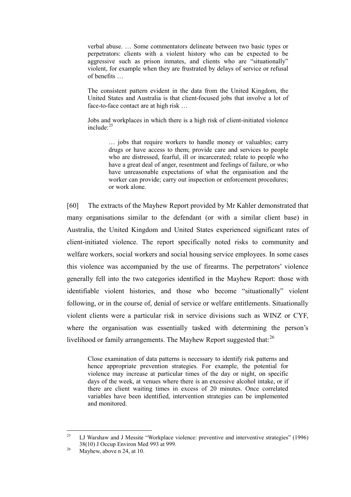verbal abuse. … Some commentators delineate between two basic types or perpetrators: clients with a violent history who can be expected to be aggressive such as prison inmates, and clients who are "situationally" violent, for example when they are frustrated by delays of service or refusal of benefits …

The consistent pattern evident in the data from the United Kingdom, the United States and Australia is that client-focused jobs that involve a lot of face-to-face contact are at high risk …

Jobs and workplaces in which there is a high risk of client-initiated violence  $include<sup>.25</sup>$  $include<sup>.25</sup>$  $include<sup>.25</sup>$ 

> … jobs that require workers to handle money or valuables; carry drugs or have access to them; provide care and services to people who are distressed, fearful, ill or incarcerated; relate to people who have a great deal of anger, resentment and feelings of failure, or who have unreasonable expectations of what the organisation and the worker can provide; carry out inspection or enforcement procedures; or work alone.

[60] The extracts of the Mayhew Report provided by Mr Kahler demonstrated that many organisations similar to the defendant (or with a similar client base) in Australia, the United Kingdom and United States experienced significant rates of client-initiated violence. The report specifically noted risks to community and welfare workers, social workers and social housing service employees. In some cases this violence was accompanied by the use of firearms. The perpetrators' violence generally fell into the two categories identified in the Mayhew Report: those with identifiable violent histories, and those who become "situationally" violent following, or in the course of, denial of service or welfare entitlements. Situationally violent clients were a particular risk in service divisions such as WINZ or CYF, where the organisation was essentially tasked with determining the person's livelihood or family arrangements. The Mayhew Report suggested that:<sup>[26](#page-16-1)</sup>

Close examination of data patterns is necessary to identify risk patterns and hence appropriate prevention strategies. For example, the potential for violence may increase at particular times of the day or night, on specific days of the week, at venues where there is an excessive alcohol intake, or if there are client waiting times in excess of 20 minutes. Once correlated variables have been identified, intervention strategies can be implemented and monitored.

<span id="page-16-0"></span><sup>&</sup>lt;sup>25</sup> LJ Warshaw and J Messite "Workplace violence: preventive and interventive strategies" (1996) 38(10) J Occup Environ Med 993 at 999.<br>Mayhew, above n [24,](#page-15-2) at 10.

<span id="page-16-1"></span>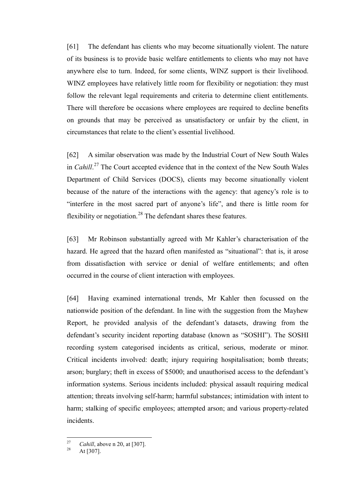[61] The defendant has clients who may become situationally violent. The nature of its business is to provide basic welfare entitlements to clients who may not have anywhere else to turn. Indeed, for some clients, WINZ support is their livelihood. WINZ employees have relatively little room for flexibility or negotiation: they must follow the relevant legal requirements and criteria to determine client entitlements. There will therefore be occasions where employees are required to decline benefits on grounds that may be perceived as unsatisfactory or unfair by the client, in circumstances that relate to the client's essential livelihood.

[62] A similar observation was made by the Industrial Court of New South Wales in *Cahill*. [27](#page-17-0) The Court accepted evidence that in the context of the New South Wales Department of Child Services (DOCS), clients may become situationally violent because of the nature of the interactions with the agency: that agency's role is to "interfere in the most sacred part of anyone's life", and there is little room for flexibility or negotiation. $^{28}$  $^{28}$  $^{28}$  The defendant shares these features.

[63] Mr Robinson substantially agreed with Mr Kahler's characterisation of the hazard. He agreed that the hazard often manifested as "situational": that is, it arose from dissatisfaction with service or denial of welfare entitlements; and often occurred in the course of client interaction with employees.

[64] Having examined international trends, Mr Kahler then focussed on the nationwide position of the defendant. In line with the suggestion from the Mayhew Report, he provided analysis of the defendant's datasets, drawing from the defendant's security incident reporting database (known as "SOSHI"). The SOSHI recording system categorised incidents as critical, serious, moderate or minor. Critical incidents involved: death; injury requiring hospitalisation; bomb threats; arson; burglary; theft in excess of \$5000; and unauthorised access to the defendant's information systems. Serious incidents included: physical assault requiring medical attention; threats involving self-harm; harmful substances; intimidation with intent to harm; stalking of specific employees; attempted arson; and various property-related incidents.

<span id="page-17-1"></span><span id="page-17-0"></span><sup>&</sup>lt;sup>27</sup> *Cahill*, above [n 20,](#page-12-4) at [307].<br>At [307].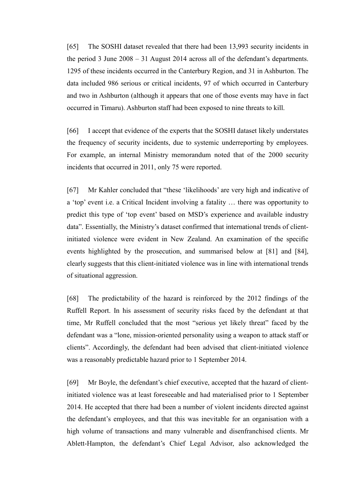[65] The SOSHI dataset revealed that there had been 13,993 security incidents in the period 3 June 2008 – 31 August 2014 across all of the defendant's departments. 1295 of these incidents occurred in the Canterbury Region, and 31 in Ashburton. The data included 986 serious or critical incidents, 97 of which occurred in Canterbury and two in Ashburton (although it appears that one of those events may have in fact occurred in Timaru). Ashburton staff had been exposed to nine threats to kill.

[66] I accept that evidence of the experts that the SOSHI dataset likely understates the frequency of security incidents, due to systemic underreporting by employees. For example, an internal Ministry memorandum noted that of the 2000 security incidents that occurred in 2011, only 75 were reported.

[67] Mr Kahler concluded that "these 'likelihoods' are very high and indicative of a 'top' event i.e. a Critical Incident involving a fatality … there was opportunity to predict this type of 'top event' based on MSD's experience and available industry data". Essentially, the Ministry's dataset confirmed that international trends of clientinitiated violence were evident in New Zealand. An examination of the specific events highlighted by the prosecution, and summarised below at [81] and [84], clearly suggests that this client-initiated violence was in line with international trends of situational aggression.

[68] The predictability of the hazard is reinforced by the 2012 findings of the Ruffell Report. In his assessment of security risks faced by the defendant at that time, Mr Ruffell concluded that the most "serious yet likely threat" faced by the defendant was a "lone, mission-oriented personality using a weapon to attack staff or clients". Accordingly, the defendant had been advised that client-initiated violence was a reasonably predictable hazard prior to 1 September 2014.

[69] Mr Boyle, the defendant's chief executive, accepted that the hazard of clientinitiated violence was at least foreseeable and had materialised prior to 1 September 2014. He accepted that there had been a number of violent incidents directed against the defendant's employees, and that this was inevitable for an organisation with a high volume of transactions and many vulnerable and disenfranchised clients. Mr Ablett-Hampton, the defendant's Chief Legal Advisor, also acknowledged the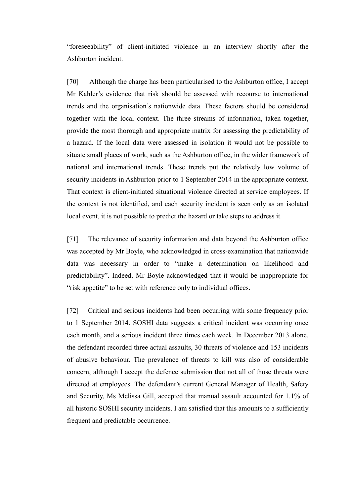"foreseeability" of client-initiated violence in an interview shortly after the Ashburton incident.

[70] Although the charge has been particularised to the Ashburton office, I accept Mr Kahler's evidence that risk should be assessed with recourse to international trends and the organisation's nationwide data. These factors should be considered together with the local context. The three streams of information, taken together, provide the most thorough and appropriate matrix for assessing the predictability of a hazard. If the local data were assessed in isolation it would not be possible to situate small places of work, such as the Ashburton office, in the wider framework of national and international trends. These trends put the relatively low volume of security incidents in Ashburton prior to 1 September 2014 in the appropriate context. That context is client-initiated situational violence directed at service employees. If the context is not identified, and each security incident is seen only as an isolated local event, it is not possible to predict the hazard or take steps to address it.

[71] The relevance of security information and data beyond the Ashburton office was accepted by Mr Boyle, who acknowledged in cross-examination that nationwide data was necessary in order to "make a determination on likelihood and predictability". Indeed, Mr Boyle acknowledged that it would be inappropriate for "risk appetite" to be set with reference only to individual offices.

[72] Critical and serious incidents had been occurring with some frequency prior to 1 September 2014. SOSHI data suggests a critical incident was occurring once each month, and a serious incident three times each week. In December 2013 alone, the defendant recorded three actual assaults, 30 threats of violence and 153 incidents of abusive behaviour. The prevalence of threats to kill was also of considerable concern, although I accept the defence submission that not all of those threats were directed at employees. The defendant's current General Manager of Health, Safety and Security, Ms Melissa Gill, accepted that manual assault accounted for 1.1% of all historic SOSHI security incidents. I am satisfied that this amounts to a sufficiently frequent and predictable occurrence.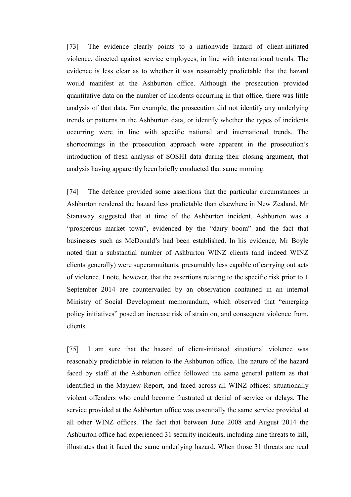[73] The evidence clearly points to a nationwide hazard of client-initiated violence, directed against service employees, in line with international trends. The evidence is less clear as to whether it was reasonably predictable that the hazard would manifest at the Ashburton office. Although the prosecution provided quantitative data on the number of incidents occurring in that office, there was little analysis of that data. For example, the prosecution did not identify any underlying trends or patterns in the Ashburton data, or identify whether the types of incidents occurring were in line with specific national and international trends. The shortcomings in the prosecution approach were apparent in the prosecution's introduction of fresh analysis of SOSHI data during their closing argument, that analysis having apparently been briefly conducted that same morning.

[74] The defence provided some assertions that the particular circumstances in Ashburton rendered the hazard less predictable than elsewhere in New Zealand. Mr Stanaway suggested that at time of the Ashburton incident, Ashburton was a "prosperous market town", evidenced by the "dairy boom" and the fact that businesses such as McDonald's had been established. In his evidence, Mr Boyle noted that a substantial number of Ashburton WINZ clients (and indeed WINZ clients generally) were superannuitants, presumably less capable of carrying out acts of violence. I note, however, that the assertions relating to the specific risk prior to 1 September 2014 are countervailed by an observation contained in an internal Ministry of Social Development memorandum, which observed that "emerging policy initiatives" posed an increase risk of strain on, and consequent violence from, clients.

[75] I am sure that the hazard of client-initiated situational violence was reasonably predictable in relation to the Ashburton office. The nature of the hazard faced by staff at the Ashburton office followed the same general pattern as that identified in the Mayhew Report, and faced across all WINZ offices: situationally violent offenders who could become frustrated at denial of service or delays. The service provided at the Ashburton office was essentially the same service provided at all other WINZ offices. The fact that between June 2008 and August 2014 the Ashburton office had experienced 31 security incidents, including nine threats to kill, illustrates that it faced the same underlying hazard. When those 31 threats are read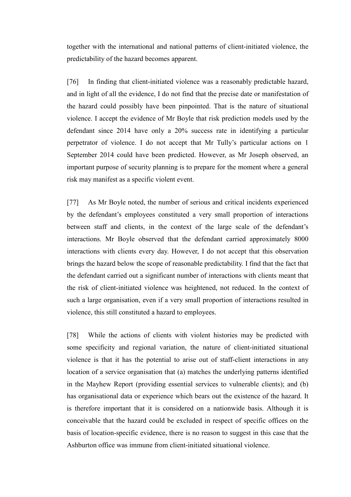together with the international and national patterns of client-initiated violence, the predictability of the hazard becomes apparent.

[76] In finding that client-initiated violence was a reasonably predictable hazard, and in light of all the evidence, I do not find that the precise date or manifestation of the hazard could possibly have been pinpointed. That is the nature of situational violence. I accept the evidence of Mr Boyle that risk prediction models used by the defendant since 2014 have only a 20% success rate in identifying a particular perpetrator of violence. I do not accept that Mr Tully's particular actions on 1 September 2014 could have been predicted. However, as Mr Joseph observed, an important purpose of security planning is to prepare for the moment where a general risk may manifest as a specific violent event.

[77] As Mr Boyle noted, the number of serious and critical incidents experienced by the defendant's employees constituted a very small proportion of interactions between staff and clients, in the context of the large scale of the defendant's interactions. Mr Boyle observed that the defendant carried approximately 8000 interactions with clients every day. However, I do not accept that this observation brings the hazard below the scope of reasonable predictability. I find that the fact that the defendant carried out a significant number of interactions with clients meant that the risk of client-initiated violence was heightened, not reduced. In the context of such a large organisation, even if a very small proportion of interactions resulted in violence, this still constituted a hazard to employees.

[78] While the actions of clients with violent histories may be predicted with some specificity and regional variation, the nature of client-initiated situational violence is that it has the potential to arise out of staff-client interactions in any location of a service organisation that (a) matches the underlying patterns identified in the Mayhew Report (providing essential services to vulnerable clients); and (b) has organisational data or experience which bears out the existence of the hazard. It is therefore important that it is considered on a nationwide basis. Although it is conceivable that the hazard could be excluded in respect of specific offices on the basis of location-specific evidence, there is no reason to suggest in this case that the Ashburton office was immune from client-initiated situational violence.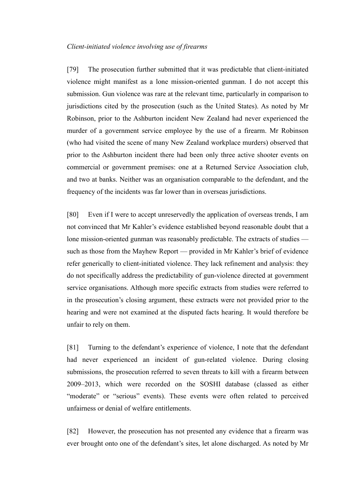#### <span id="page-22-0"></span>*Client-initiated violence involving use of firearms*

[79] The prosecution further submitted that it was predictable that client-initiated violence might manifest as a lone mission-oriented gunman. I do not accept this submission. Gun violence was rare at the relevant time, particularly in comparison to jurisdictions cited by the prosecution (such as the United States). As noted by Mr Robinson, prior to the Ashburton incident New Zealand had never experienced the murder of a government service employee by the use of a firearm. Mr Robinson (who had visited the scene of many New Zealand workplace murders) observed that prior to the Ashburton incident there had been only three active shooter events on commercial or government premises: one at a Returned Service Association club, and two at banks. Neither was an organisation comparable to the defendant, and the frequency of the incidents was far lower than in overseas jurisdictions.

[80] Even if I were to accept unreservedly the application of overseas trends, I am not convinced that Mr Kahler's evidence established beyond reasonable doubt that a lone mission-oriented gunman was reasonably predictable. The extracts of studies such as those from the Mayhew Report — provided in Mr Kahler's brief of evidence refer generically to client-initiated violence. They lack refinement and analysis: they do not specifically address the predictability of gun-violence directed at government service organisations. Although more specific extracts from studies were referred to in the prosecution's closing argument, these extracts were not provided prior to the hearing and were not examined at the disputed facts hearing. It would therefore be unfair to rely on them.

[81] Turning to the defendant's experience of violence, I note that the defendant had never experienced an incident of gun-related violence. During closing submissions, the prosecution referred to seven threats to kill with a firearm between 2009–2013, which were recorded on the SOSHI database (classed as either "moderate" or "serious" events). These events were often related to perceived unfairness or denial of welfare entitlements.

[82] However, the prosecution has not presented any evidence that a firearm was ever brought onto one of the defendant's sites, let alone discharged. As noted by Mr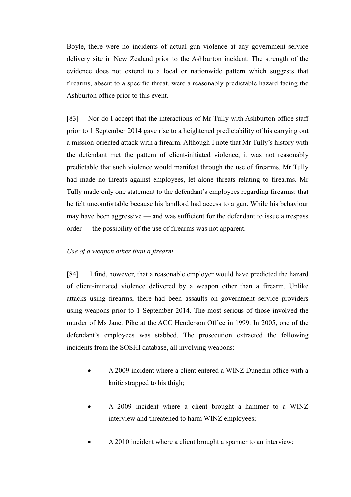Boyle, there were no incidents of actual gun violence at any government service delivery site in New Zealand prior to the Ashburton incident. The strength of the evidence does not extend to a local or nationwide pattern which suggests that firearms, absent to a specific threat, were a reasonably predictable hazard facing the Ashburton office prior to this event.

[83] Nor do I accept that the interactions of Mr Tully with Ashburton office staff prior to 1 September 2014 gave rise to a heightened predictability of his carrying out a mission-oriented attack with a firearm. Although I note that Mr Tully's history with the defendant met the pattern of client-initiated violence, it was not reasonably predictable that such violence would manifest through the use of firearms. Mr Tully had made no threats against employees, let alone threats relating to firearms. Mr Tully made only one statement to the defendant's employees regarding firearms: that he felt uncomfortable because his landlord had access to a gun. While his behaviour may have been aggressive — and was sufficient for the defendant to issue a trespass order — the possibility of the use of firearms was not apparent.

## <span id="page-23-0"></span>*Use of a weapon other than a firearm*

[84] I find, however, that a reasonable employer would have predicted the hazard of client-initiated violence delivered by a weapon other than a firearm. Unlike attacks using firearms, there had been assaults on government service providers using weapons prior to 1 September 2014. The most serious of those involved the murder of Ms Janet Pike at the ACC Henderson Office in 1999. In 2005, one of the defendant's employees was stabbed. The prosecution extracted the following incidents from the SOSHI database, all involving weapons:

- A 2009 incident where a client entered a WINZ Dunedin office with a knife strapped to his thigh;
- A 2009 incident where a client brought a hammer to a WINZ interview and threatened to harm WINZ employees;
- A 2010 incident where a client brought a spanner to an interview;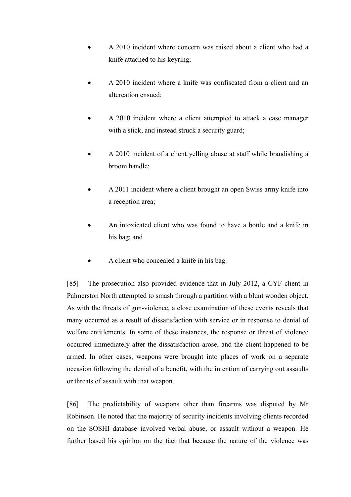- A 2010 incident where concern was raised about a client who had a knife attached to his keyring;
- A 2010 incident where a knife was confiscated from a client and an altercation ensued;
- A 2010 incident where a client attempted to attack a case manager with a stick, and instead struck a security guard;
- A 2010 incident of a client yelling abuse at staff while brandishing a broom handle;
- A 2011 incident where a client brought an open Swiss army knife into a reception area;
- An intoxicated client who was found to have a bottle and a knife in his bag; and
- A client who concealed a knife in his bag.

[85] The prosecution also provided evidence that in July 2012, a CYF client in Palmerston North attempted to smash through a partition with a blunt wooden object. As with the threats of gun-violence, a close examination of these events reveals that many occurred as a result of dissatisfaction with service or in response to denial of welfare entitlements. In some of these instances, the response or threat of violence occurred immediately after the dissatisfaction arose, and the client happened to be armed. In other cases, weapons were brought into places of work on a separate occasion following the denial of a benefit, with the intention of carrying out assaults or threats of assault with that weapon.

[86] The predictability of weapons other than firearms was disputed by Mr Robinson. He noted that the majority of security incidents involving clients recorded on the SOSHI database involved verbal abuse, or assault without a weapon. He further based his opinion on the fact that because the nature of the violence was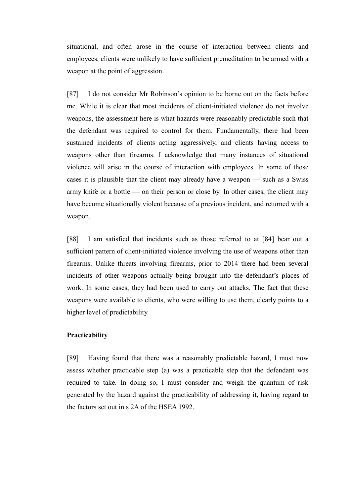situational, and often arose in the course of interaction between clients and employees, clients were unlikely to have sufficient premeditation to be armed with a weapon at the point of aggression.

[87] I do not consider Mr Robinson's opinion to be borne out on the facts before me. While it is clear that most incidents of client-initiated violence do not involve weapons, the assessment here is what hazards were reasonably predictable such that the defendant was required to control for them. Fundamentally, there had been sustained incidents of clients acting aggressively, and clients having access to weapons other than firearms. I acknowledge that many instances of situational violence will arise in the course of interaction with employees. In some of those cases it is plausible that the client may already have a weapon — such as a Swiss army knife or a bottle — on their person or close by. In other cases, the client may have become situationally violent because of a previous incident, and returned with a weapon.

[88] I am satisfied that incidents such as those referred to at [84] bear out a sufficient pattern of client-initiated violence involving the use of weapons other than firearms. Unlike threats involving firearms, prior to 2014 there had been several incidents of other weapons actually being brought into the defendant's places of work. In some cases, they had been used to carry out attacks. The fact that these weapons were available to clients, who were willing to use them, clearly points to a higher level of predictability.

## <span id="page-25-0"></span>**Practicability**

[89] Having found that there was a reasonably predictable hazard, I must now assess whether practicable step (a) was a practicable step that the defendant was required to take. In doing so, I must consider and weigh the quantum of risk generated by the hazard against the practicability of addressing it, having regard to the factors set out in s 2A of the HSEA 1992.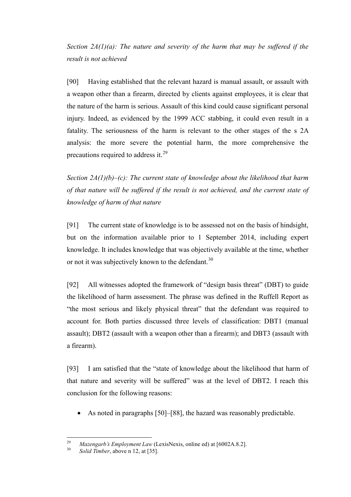<span id="page-26-0"></span>*Section 2A(1)(a): The nature and severity of the harm that may be suffered if the result is not achieved*

[90] Having established that the relevant hazard is manual assault, or assault with a weapon other than a firearm, directed by clients against employees, it is clear that the nature of the harm is serious. Assault of this kind could cause significant personal injury. Indeed, as evidenced by the 1999 ACC stabbing, it could even result in a fatality. The seriousness of the harm is relevant to the other stages of the s 2A analysis: the more severe the potential harm, the more comprehensive the precautions required to address it. $^{29}$  $^{29}$  $^{29}$ 

<span id="page-26-1"></span>*Section 2A(1)(b)–(c): The current state of knowledge about the likelihood that harm of that nature will be suffered if the result is not achieved, and the current state of knowledge of harm of that nature*

[91] The current state of knowledge is to be assessed not on the basis of hindsight, but on the information available prior to 1 September 2014, including expert knowledge. It includes knowledge that was objectively available at the time, whether or not it was subjectively known to the defendant.<sup>[30](#page-26-3)</sup>

[92] All witnesses adopted the framework of "design basis threat" (DBT) to guide the likelihood of harm assessment. The phrase was defined in the Ruffell Report as "the most serious and likely physical threat" that the defendant was required to account for. Both parties discussed three levels of classification: DBT1 (manual assault); DBT2 (assault with a weapon other than a firearm); and DBT3 (assault with a firearm).

[93] I am satisfied that the "state of knowledge about the likelihood that harm of that nature and severity will be suffered" was at the level of DBT2. I reach this conclusion for the following reasons:

• As noted in paragraphs [50]–[88], the hazard was reasonably predictable.

<span id="page-26-3"></span><span id="page-26-2"></span><sup>29</sup> *Mazengarb's Employment Law* (LexisNexis, online ed) at [6002A.8.2]. 30 *Solid Timber*, above n [12,](#page-10-3) at [35].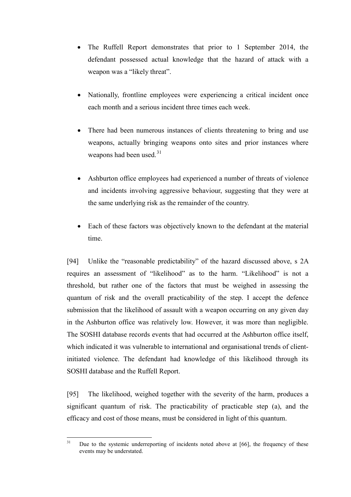- The Ruffell Report demonstrates that prior to 1 September 2014, the defendant possessed actual knowledge that the hazard of attack with a weapon was a "likely threat".
- Nationally, frontline employees were experiencing a critical incident once each month and a serious incident three times each week.
- There had been numerous instances of clients threatening to bring and use weapons, actually bringing weapons onto sites and prior instances where weapons had been used.<sup>[31](#page-27-0)</sup>
- Ashburton office employees had experienced a number of threats of violence and incidents involving aggressive behaviour, suggesting that they were at the same underlying risk as the remainder of the country.
- Each of these factors was objectively known to the defendant at the material time.

[94] Unlike the "reasonable predictability" of the hazard discussed above, s 2A requires an assessment of "likelihood" as to the harm. "Likelihood" is not a threshold, but rather one of the factors that must be weighed in assessing the quantum of risk and the overall practicability of the step. I accept the defence submission that the likelihood of assault with a weapon occurring on any given day in the Ashburton office was relatively low. However, it was more than negligible. The SOSHI database records events that had occurred at the Ashburton office itself, which indicated it was vulnerable to international and organisational trends of clientinitiated violence. The defendant had knowledge of this likelihood through its SOSHI database and the Ruffell Report.

[95] The likelihood, weighed together with the severity of the harm, produces a significant quantum of risk. The practicability of practicable step (a), and the efficacy and cost of those means, must be considered in light of this quantum.

<span id="page-27-0"></span> $31$  Due to the systemic underreporting of incidents noted above at [66], the frequency of these events may be understated.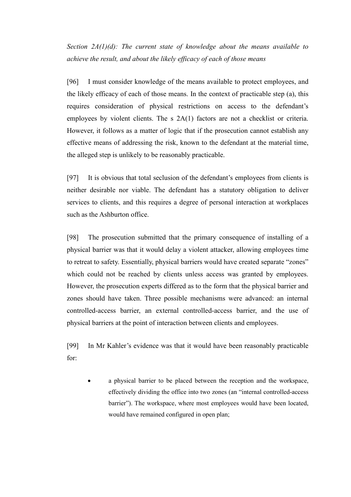<span id="page-28-0"></span>*Section 2A(1)(d): The current state of knowledge about the means available to achieve the result, and about the likely efficacy of each of those means*

[96] I must consider knowledge of the means available to protect employees, and the likely efficacy of each of those means. In the context of practicable step (a), this requires consideration of physical restrictions on access to the defendant's employees by violent clients. The s 2A(1) factors are not a checklist or criteria. However, it follows as a matter of logic that if the prosecution cannot establish any effective means of addressing the risk, known to the defendant at the material time, the alleged step is unlikely to be reasonably practicable.

[97] It is obvious that total seclusion of the defendant's employees from clients is neither desirable nor viable. The defendant has a statutory obligation to deliver services to clients, and this requires a degree of personal interaction at workplaces such as the Ashburton office.

[98] The prosecution submitted that the primary consequence of installing of a physical barrier was that it would delay a violent attacker, allowing employees time to retreat to safety. Essentially, physical barriers would have created separate "zones" which could not be reached by clients unless access was granted by employees. However, the prosecution experts differed as to the form that the physical barrier and zones should have taken. Three possible mechanisms were advanced: an internal controlled-access barrier, an external controlled-access barrier, and the use of physical barriers at the point of interaction between clients and employees.

[99] In Mr Kahler's evidence was that it would have been reasonably practicable for:

• a physical barrier to be placed between the reception and the workspace, effectively dividing the office into two zones (an "internal controlled-access barrier"). The workspace, where most employees would have been located, would have remained configured in open plan;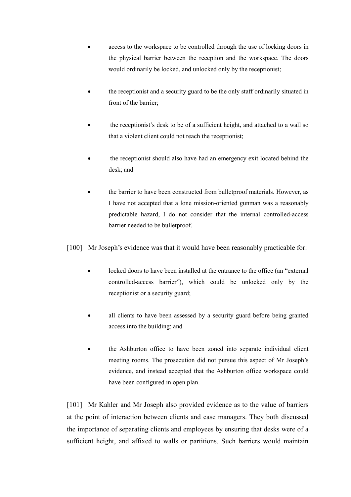- access to the workspace to be controlled through the use of locking doors in the physical barrier between the reception and the workspace. The doors would ordinarily be locked, and unlocked only by the receptionist;
- the receptionist and a security guard to be the only staff ordinarily situated in front of the barrier;
- the receptionist's desk to be of a sufficient height, and attached to a wall so that a violent client could not reach the receptionist;
- the receptionist should also have had an emergency exit located behind the desk; and
- the barrier to have been constructed from bulletproof materials. However, as I have not accepted that a lone mission-oriented gunman was a reasonably predictable hazard, I do not consider that the internal controlled-access barrier needed to be bulletproof.

[100] Mr Joseph's evidence was that it would have been reasonably practicable for:

- locked doors to have been installed at the entrance to the office (an "external controlled-access barrier"), which could be unlocked only by the receptionist or a security guard;
- all clients to have been assessed by a security guard before being granted access into the building; and
- the Ashburton office to have been zoned into separate individual client meeting rooms. The prosecution did not pursue this aspect of Mr Joseph's evidence, and instead accepted that the Ashburton office workspace could have been configured in open plan.

[101] Mr Kahler and Mr Joseph also provided evidence as to the value of barriers at the point of interaction between clients and case managers. They both discussed the importance of separating clients and employees by ensuring that desks were of a sufficient height, and affixed to walls or partitions. Such barriers would maintain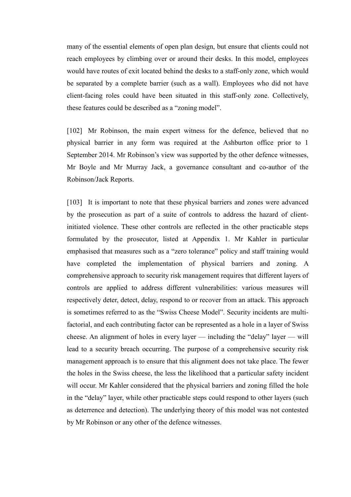many of the essential elements of open plan design, but ensure that clients could not reach employees by climbing over or around their desks. In this model, employees would have routes of exit located behind the desks to a staff-only zone, which would be separated by a complete barrier (such as a wall). Employees who did not have client-facing roles could have been situated in this staff-only zone. Collectively, these features could be described as a "zoning model".

[102] Mr Robinson, the main expert witness for the defence, believed that no physical barrier in any form was required at the Ashburton office prior to 1 September 2014. Mr Robinson's view was supported by the other defence witnesses, Mr Boyle and Mr Murray Jack, a governance consultant and co-author of the Robinson/Jack Reports.

[103] It is important to note that these physical barriers and zones were advanced by the prosecution as part of a suite of controls to address the hazard of clientinitiated violence. These other controls are reflected in the other practicable steps formulated by the prosecutor, listed at Appendix 1. Mr Kahler in particular emphasised that measures such as a "zero tolerance" policy and staff training would have completed the implementation of physical barriers and zoning. A comprehensive approach to security risk management requires that different layers of controls are applied to address different vulnerabilities: various measures will respectively deter, detect, delay, respond to or recover from an attack. This approach is sometimes referred to as the "Swiss Cheese Model". Security incidents are multifactorial, and each contributing factor can be represented as a hole in a layer of Swiss cheese. An alignment of holes in every layer — including the "delay" layer — will lead to a security breach occurring. The purpose of a comprehensive security risk management approach is to ensure that this alignment does not take place. The fewer the holes in the Swiss cheese, the less the likelihood that a particular safety incident will occur. Mr Kahler considered that the physical barriers and zoning filled the hole in the "delay" layer, while other practicable steps could respond to other layers (such as deterrence and detection). The underlying theory of this model was not contested by Mr Robinson or any other of the defence witnesses.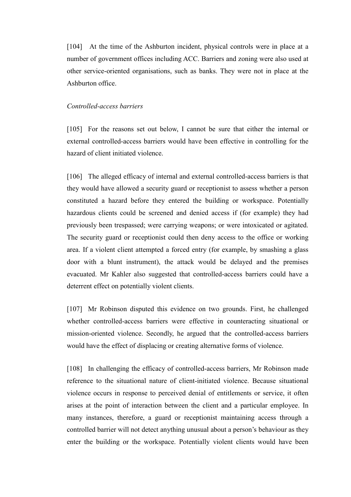[104] At the time of the Ashburton incident, physical controls were in place at a number of government offices including ACC. Barriers and zoning were also used at other service-oriented organisations, such as banks. They were not in place at the Ashburton office.

#### <span id="page-31-0"></span>*Controlled-access barriers*

[105] For the reasons set out below, I cannot be sure that either the internal or external controlled-access barriers would have been effective in controlling for the hazard of client initiated violence.

[106] The alleged efficacy of internal and external controlled-access barriers is that they would have allowed a security guard or receptionist to assess whether a person constituted a hazard before they entered the building or workspace. Potentially hazardous clients could be screened and denied access if (for example) they had previously been trespassed; were carrying weapons; or were intoxicated or agitated. The security guard or receptionist could then deny access to the office or working area. If a violent client attempted a forced entry (for example, by smashing a glass door with a blunt instrument), the attack would be delayed and the premises evacuated. Mr Kahler also suggested that controlled-access barriers could have a deterrent effect on potentially violent clients.

[107] Mr Robinson disputed this evidence on two grounds. First, he challenged whether controlled-access barriers were effective in counteracting situational or mission-oriented violence. Secondly, he argued that the controlled-access barriers would have the effect of displacing or creating alternative forms of violence.

[108] In challenging the efficacy of controlled-access barriers, Mr Robinson made reference to the situational nature of client-initiated violence. Because situational violence occurs in response to perceived denial of entitlements or service, it often arises at the point of interaction between the client and a particular employee. In many instances, therefore, a guard or receptionist maintaining access through a controlled barrier will not detect anything unusual about a person's behaviour as they enter the building or the workspace. Potentially violent clients would have been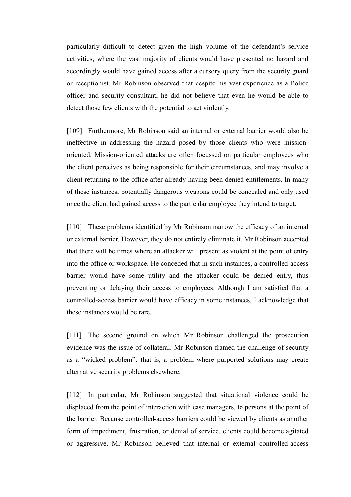particularly difficult to detect given the high volume of the defendant's service activities, where the vast majority of clients would have presented no hazard and accordingly would have gained access after a cursory query from the security guard or receptionist. Mr Robinson observed that despite his vast experience as a Police officer and security consultant, he did not believe that even he would be able to detect those few clients with the potential to act violently.

[109] Furthermore, Mr Robinson said an internal or external barrier would also be ineffective in addressing the hazard posed by those clients who were missionoriented. Mission-oriented attacks are often focussed on particular employees who the client perceives as being responsible for their circumstances, and may involve a client returning to the office after already having been denied entitlements. In many of these instances, potentially dangerous weapons could be concealed and only used once the client had gained access to the particular employee they intend to target.

[110] These problems identified by Mr Robinson narrow the efficacy of an internal or external barrier. However, they do not entirely eliminate it. Mr Robinson accepted that there will be times where an attacker will present as violent at the point of entry into the office or workspace. He conceded that in such instances, a controlled-access barrier would have some utility and the attacker could be denied entry, thus preventing or delaying their access to employees. Although I am satisfied that a controlled-access barrier would have efficacy in some instances, I acknowledge that these instances would be rare.

[111] The second ground on which Mr Robinson challenged the prosecution evidence was the issue of collateral. Mr Robinson framed the challenge of security as a "wicked problem": that is, a problem where purported solutions may create alternative security problems elsewhere.

[112] In particular, Mr Robinson suggested that situational violence could be displaced from the point of interaction with case managers, to persons at the point of the barrier. Because controlled-access barriers could be viewed by clients as another form of impediment, frustration, or denial of service, clients could become agitated or aggressive. Mr Robinson believed that internal or external controlled-access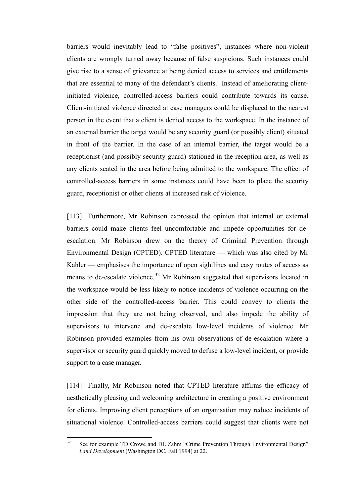barriers would inevitably lead to "false positives", instances where non-violent clients are wrongly turned away because of false suspicions. Such instances could give rise to a sense of grievance at being denied access to services and entitlements that are essential to many of the defendant's clients. Instead of ameliorating clientinitiated violence, controlled-access barriers could contribute towards its cause. Client-initiated violence directed at case managers could be displaced to the nearest person in the event that a client is denied access to the workspace. In the instance of an external barrier the target would be any security guard (or possibly client) situated in front of the barrier. In the case of an internal barrier, the target would be a receptionist (and possibly security guard) stationed in the reception area, as well as any clients seated in the area before being admitted to the workspace. The effect of controlled-access barriers in some instances could have been to place the security guard, receptionist or other clients at increased risk of violence.

[113] Furthermore, Mr Robinson expressed the opinion that internal or external barriers could make clients feel uncomfortable and impede opportunities for deescalation. Mr Robinson drew on the theory of Criminal Prevention through Environmental Design (CPTED). CPTED literature — which was also cited by Mr Kahler — emphasises the importance of open sightlines and easy routes of access as means to de-escalate violence.<sup>[32](#page-33-0)</sup> Mr Robinson suggested that supervisors located in the workspace would be less likely to notice incidents of violence occurring on the other side of the controlled-access barrier. This could convey to clients the impression that they are not being observed, and also impede the ability of supervisors to intervene and de-escalate low-level incidents of violence. Mr Robinson provided examples from his own observations of de-escalation where a supervisor or security guard quickly moved to defuse a low-level incident, or provide support to a case manager.

[114] Finally, Mr Robinson noted that CPTED literature affirms the efficacy of aesthetically pleasing and welcoming architecture in creating a positive environment for clients. Improving client perceptions of an organisation may reduce incidents of situational violence. Controlled-access barriers could suggest that clients were not

<span id="page-33-0"></span><sup>&</sup>lt;sup>32</sup> See for example TD Crowe and DL Zahm "Crime Prevention Through Environmental Design" *Land Development* (Washington DC, Fall 1994) at 22.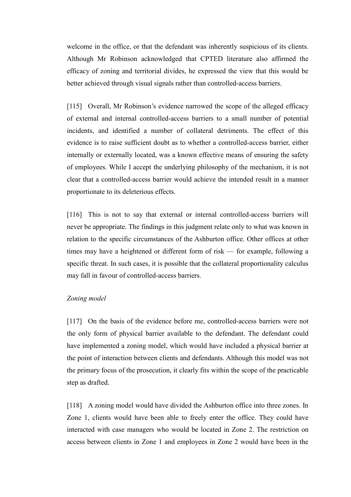welcome in the office, or that the defendant was inherently suspicious of its clients. Although Mr Robinson acknowledged that CPTED literature also affirmed the efficacy of zoning and territorial divides, he expressed the view that this would be better achieved through visual signals rather than controlled-access barriers.

[115] Overall, Mr Robinson's evidence narrowed the scope of the alleged efficacy of external and internal controlled-access barriers to a small number of potential incidents, and identified a number of collateral detriments. The effect of this evidence is to raise sufficient doubt as to whether a controlled-access barrier, either internally or externally located, was a known effective means of ensuring the safety of employees. While I accept the underlying philosophy of the mechanism, it is not clear that a controlled-access barrier would achieve the intended result in a manner proportionate to its deleterious effects.

[116] This is not to say that external or internal controlled-access barriers will never be appropriate. The findings in this judgment relate only to what was known in relation to the specific circumstances of the Ashburton office. Other offices at other times may have a heightened or different form of risk — for example, following a specific threat. In such cases, it is possible that the collateral proportionality calculus may fall in favour of controlled-access barriers.

#### <span id="page-34-0"></span>*Zoning model*

[117] On the basis of the evidence before me, controlled-access barriers were not the only form of physical barrier available to the defendant. The defendant could have implemented a zoning model, which would have included a physical barrier at the point of interaction between clients and defendants. Although this model was not the primary focus of the prosecution, it clearly fits within the scope of the practicable step as drafted.

[118] A zoning model would have divided the Ashburton office into three zones. In Zone 1, clients would have been able to freely enter the office. They could have interacted with case managers who would be located in Zone 2. The restriction on access between clients in Zone 1 and employees in Zone 2 would have been in the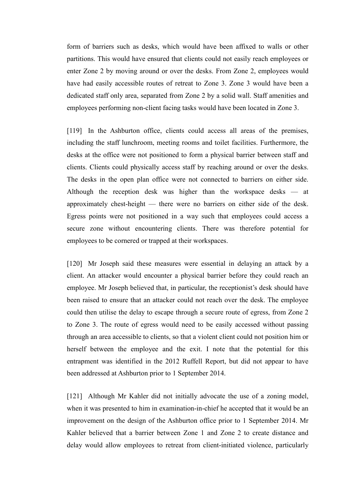form of barriers such as desks, which would have been affixed to walls or other partitions. This would have ensured that clients could not easily reach employees or enter Zone 2 by moving around or over the desks. From Zone 2, employees would have had easily accessible routes of retreat to Zone 3. Zone 3 would have been a dedicated staff only area, separated from Zone 2 by a solid wall. Staff amenities and employees performing non-client facing tasks would have been located in Zone 3.

[119] In the Ashburton office, clients could access all areas of the premises, including the staff lunchroom, meeting rooms and toilet facilities. Furthermore, the desks at the office were not positioned to form a physical barrier between staff and clients. Clients could physically access staff by reaching around or over the desks. The desks in the open plan office were not connected to barriers on either side. Although the reception desk was higher than the workspace desks — at approximately chest-height — there were no barriers on either side of the desk. Egress points were not positioned in a way such that employees could access a secure zone without encountering clients. There was therefore potential for employees to be cornered or trapped at their workspaces.

[120] Mr Joseph said these measures were essential in delaying an attack by a client. An attacker would encounter a physical barrier before they could reach an employee. Mr Joseph believed that, in particular, the receptionist's desk should have been raised to ensure that an attacker could not reach over the desk. The employee could then utilise the delay to escape through a secure route of egress, from Zone 2 to Zone 3. The route of egress would need to be easily accessed without passing through an area accessible to clients, so that a violent client could not position him or herself between the employee and the exit. I note that the potential for this entrapment was identified in the 2012 Ruffell Report, but did not appear to have been addressed at Ashburton prior to 1 September 2014.

[121] Although Mr Kahler did not initially advocate the use of a zoning model, when it was presented to him in examination-in-chief he accepted that it would be an improvement on the design of the Ashburton office prior to 1 September 2014. Mr Kahler believed that a barrier between Zone 1 and Zone 2 to create distance and delay would allow employees to retreat from client-initiated violence, particularly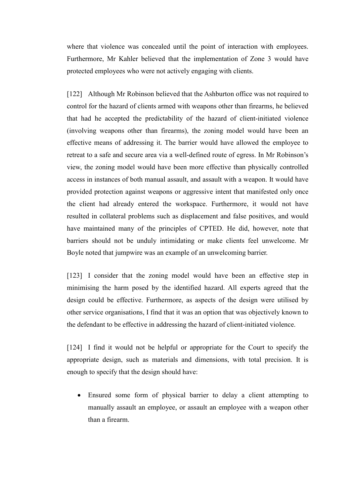where that violence was concealed until the point of interaction with employees. Furthermore, Mr Kahler believed that the implementation of Zone 3 would have protected employees who were not actively engaging with clients.

[122] Although Mr Robinson believed that the Ashburton office was not required to control for the hazard of clients armed with weapons other than firearms, he believed that had he accepted the predictability of the hazard of client-initiated violence (involving weapons other than firearms), the zoning model would have been an effective means of addressing it. The barrier would have allowed the employee to retreat to a safe and secure area via a well-defined route of egress. In Mr Robinson's view, the zoning model would have been more effective than physically controlled access in instances of both manual assault, and assault with a weapon. It would have provided protection against weapons or aggressive intent that manifested only once the client had already entered the workspace. Furthermore, it would not have resulted in collateral problems such as displacement and false positives, and would have maintained many of the principles of CPTED. He did, however, note that barriers should not be unduly intimidating or make clients feel unwelcome. Mr Boyle noted that jumpwire was an example of an unwelcoming barrier.

[123] I consider that the zoning model would have been an effective step in minimising the harm posed by the identified hazard. All experts agreed that the design could be effective. Furthermore, as aspects of the design were utilised by other service organisations, I find that it was an option that was objectively known to the defendant to be effective in addressing the hazard of client-initiated violence.

[124] I find it would not be helpful or appropriate for the Court to specify the appropriate design, such as materials and dimensions, with total precision. It is enough to specify that the design should have:

• Ensured some form of physical barrier to delay a client attempting to manually assault an employee, or assault an employee with a weapon other than a firearm.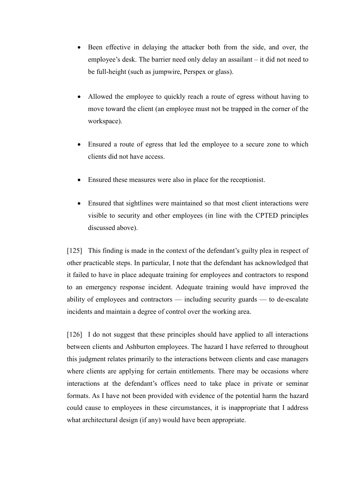- Been effective in delaying the attacker both from the side, and over, the employee's desk. The barrier need only delay an assailant – it did not need to be full-height (such as jumpwire, Perspex or glass).
- Allowed the employee to quickly reach a route of egress without having to move toward the client (an employee must not be trapped in the corner of the workspace).
- Ensured a route of egress that led the employee to a secure zone to which clients did not have access.
- Ensured these measures were also in place for the receptionist.
- Ensured that sightlines were maintained so that most client interactions were visible to security and other employees (in line with the CPTED principles discussed above).

[125] This finding is made in the context of the defendant's guilty plea in respect of other practicable steps. In particular, I note that the defendant has acknowledged that it failed to have in place adequate training for employees and contractors to respond to an emergency response incident. Adequate training would have improved the ability of employees and contractors — including security guards — to de-escalate incidents and maintain a degree of control over the working area.

[126] I do not suggest that these principles should have applied to all interactions between clients and Ashburton employees. The hazard I have referred to throughout this judgment relates primarily to the interactions between clients and case managers where clients are applying for certain entitlements. There may be occasions where interactions at the defendant's offices need to take place in private or seminar formats. As I have not been provided with evidence of the potential harm the hazard could cause to employees in these circumstances, it is inappropriate that I address what architectural design (if any) would have been appropriate.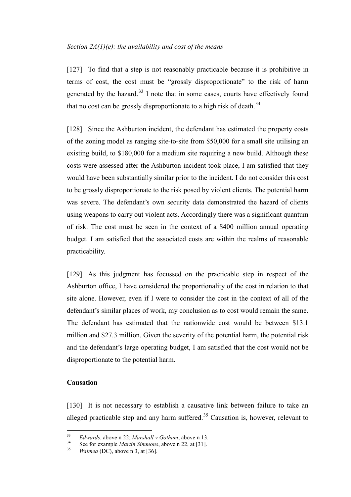### <span id="page-38-0"></span>*Section 2A(1)(e): the availability and cost of the means*

[127] To find that a step is not reasonably practicable because it is prohibitive in terms of cost, the cost must be "grossly disproportionate" to the risk of harm generated by the hazard.<sup>[33](#page-38-2)</sup> I note that in some cases, courts have effectively found that no cost can be grossly disproportionate to a high risk of death.<sup>[34](#page-38-3)</sup>

[128] Since the Ashburton incident, the defendant has estimated the property costs of the zoning model as ranging site-to-site from \$50,000 for a small site utilising an existing build, to \$180,000 for a medium site requiring a new build. Although these costs were assessed after the Ashburton incident took place, I am satisfied that they would have been substantially similar prior to the incident. I do not consider this cost to be grossly disproportionate to the risk posed by violent clients. The potential harm was severe. The defendant's own security data demonstrated the hazard of clients using weapons to carry out violent acts. Accordingly there was a significant quantum of risk. The cost must be seen in the context of a \$400 million annual operating budget. I am satisfied that the associated costs are within the realms of reasonable practicability.

[129] As this judgment has focussed on the practicable step in respect of the Ashburton office, I have considered the proportionality of the cost in relation to that site alone. However, even if I were to consider the cost in the context of all of the defendant's similar places of work, my conclusion as to cost would remain the same. The defendant has estimated that the nationwide cost would be between \$13.1 million and \$27.3 million. Given the severity of the potential harm, the potential risk and the defendant's large operating budget, I am satisfied that the cost would not be disproportionate to the potential harm.

## <span id="page-38-1"></span>**Causation**

[130] It is not necessary to establish a causative link between failure to take an alleged practicable step and any harm suffered.<sup>[35](#page-38-4)</sup> Causation is, however, relevant to

<span id="page-38-2"></span><sup>&</sup>lt;sup>33</sup> *Edwards*, above n 22; *Marshall v Gotham*, above n 13.<br><sup>34</sup> See fan sygwula *Martin Sinus yn* a boyn n 22, at [21]

<span id="page-38-4"></span><span id="page-38-3"></span><sup>&</sup>lt;sup>34</sup> See for example *Martin Simmons*, above n [22,](#page-13-3) at [31].<br><sup>35</sup> *Waimea* (DC), above n 3, at [36].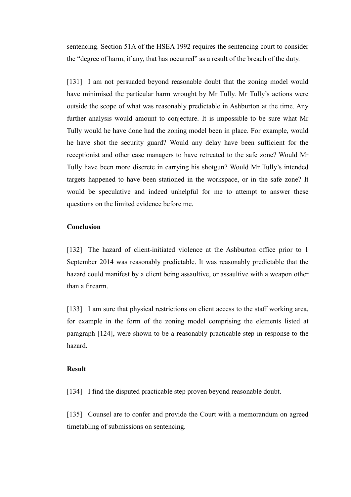sentencing. Section 51A of the HSEA 1992 requires the sentencing court to consider the "degree of harm, if any, that has occurred" as a result of the breach of the duty.

[131] I am not persuaded beyond reasonable doubt that the zoning model would have minimised the particular harm wrought by Mr Tully. Mr Tully's actions were outside the scope of what was reasonably predictable in Ashburton at the time. Any further analysis would amount to conjecture. It is impossible to be sure what Mr Tully would he have done had the zoning model been in place. For example, would he have shot the security guard? Would any delay have been sufficient for the receptionist and other case managers to have retreated to the safe zone? Would Mr Tully have been more discrete in carrying his shotgun? Would Mr Tully's intended targets happened to have been stationed in the workspace, or in the safe zone? It would be speculative and indeed unhelpful for me to attempt to answer these questions on the limited evidence before me.

### <span id="page-39-0"></span>**Conclusion**

[132] The hazard of client-initiated violence at the Ashburton office prior to 1 September 2014 was reasonably predictable. It was reasonably predictable that the hazard could manifest by a client being assaultive, or assaultive with a weapon other than a firearm.

[133] I am sure that physical restrictions on client access to the staff working area, for example in the form of the zoning model comprising the elements listed at paragraph [124], were shown to be a reasonably practicable step in response to the hazard.

#### <span id="page-39-1"></span>**Result**

[134] I find the disputed practicable step proven beyond reasonable doubt.

[135] Counsel are to confer and provide the Court with a memorandum on agreed timetabling of submissions on sentencing.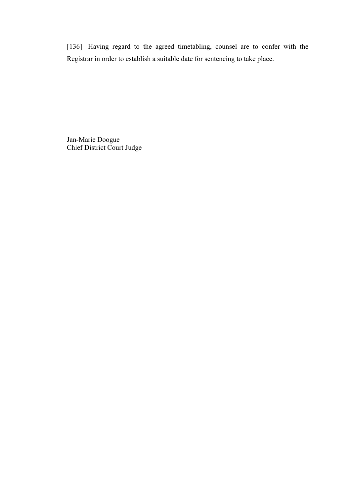[136] Having regard to the agreed timetabling, counsel are to confer with the Registrar in order to establish a suitable date for sentencing to take place.

Jan-Marie Doogue Chief District Court Judge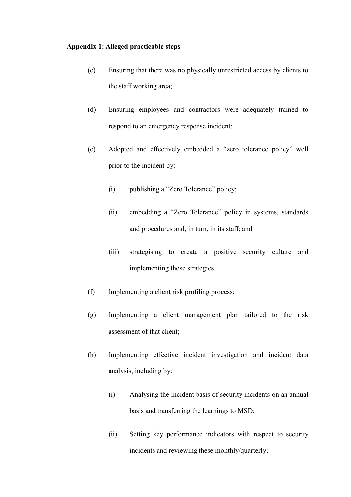## **Appendix 1: Alleged practicable steps**

- (c) Ensuring that there was no physically unrestricted access by clients to the staff working area;
- (d) Ensuring employees and contractors were adequately trained to respond to an emergency response incident;
- (e) Adopted and effectively embedded a "zero tolerance policy" well prior to the incident by:
	- (i) publishing a "Zero Tolerance" policy;
	- (ii) embedding a "Zero Tolerance" policy in systems, standards and procedures and, in turn, in its staff; and
	- (iii) strategising to create a positive security culture and implementing those strategies.
- (f) Implementing a client risk profiling process;
- (g) Implementing a client management plan tailored to the risk assessment of that client;
- (h) Implementing effective incident investigation and incident data analysis, including by:
	- (i) Analysing the incident basis of security incidents on an annual basis and transferring the learnings to MSD;
	- (ii) Setting key performance indicators with respect to security incidents and reviewing these monthly/quarterly;